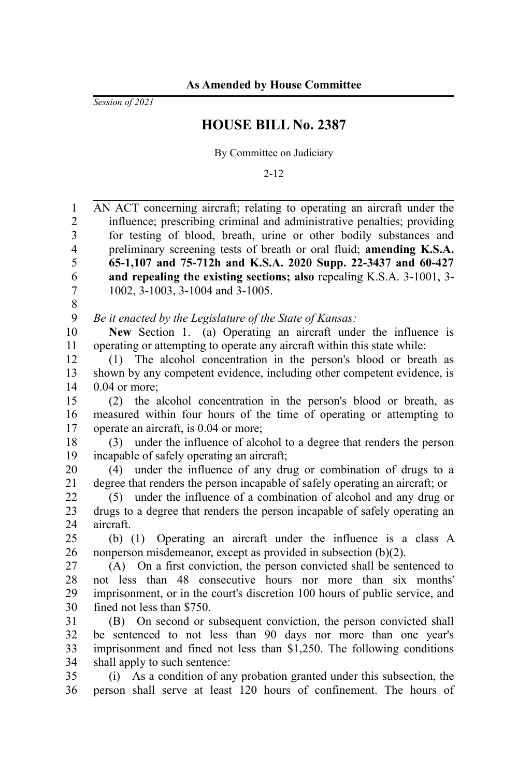*Session of 2021*

## **HOUSE BILL No. 2387**

By Committee on Judiciary

2-12

AN ACT concerning aircraft; relating to operating an aircraft under the influence; prescribing criminal and administrative penalties; providing for testing of blood, breath, urine or other bodily substances and preliminary screening tests of breath or oral fluid; **amending K.S.A. 65-1,107 and 75-712h and K.S.A. 2020 Supp. 22-3437 and 60-427 and repealing the existing sections; also** repealing K.S.A. 3-1001, 3- 1002, 3-1003, 3-1004 and 3-1005. *Be it enacted by the Legislature of the State of Kansas:* **New** Section 1. (a) Operating an aircraft under the influence is operating or attempting to operate any aircraft within this state while: (1) The alcohol concentration in the person's blood or breath as shown by any competent evidence, including other competent evidence, is 0.04 or more; (2) the alcohol concentration in the person's blood or breath, as measured within four hours of the time of operating or attempting to operate an aircraft, is 0.04 or more; (3) under the influence of alcohol to a degree that renders the person incapable of safely operating an aircraft; (4) under the influence of any drug or combination of drugs to a degree that renders the person incapable of safely operating an aircraft; or (5) under the influence of a combination of alcohol and any drug or drugs to a degree that renders the person incapable of safely operating an aircraft. (b) (1) Operating an aircraft under the influence is a class A nonperson misdemeanor, except as provided in subsection (b)(2). (A) On a first conviction, the person convicted shall be sentenced to not less than 48 consecutive hours nor more than six months' imprisonment, or in the court's discretion 100 hours of public service, and fined not less than \$750. (B) On second or subsequent conviction, the person convicted shall be sentenced to not less than 90 days nor more than one year's imprisonment and fined not less than \$1,250. The following conditions shall apply to such sentence: (i) As a condition of any probation granted under this subsection, the person shall serve at least 120 hours of confinement. The hours of 1 2 3 4 5 6 7 8 9 10 11 12 13 14 15 16 17 18 19 20 21 22 23 24 25 26 27 28 29 30 31 32 33 34 35 36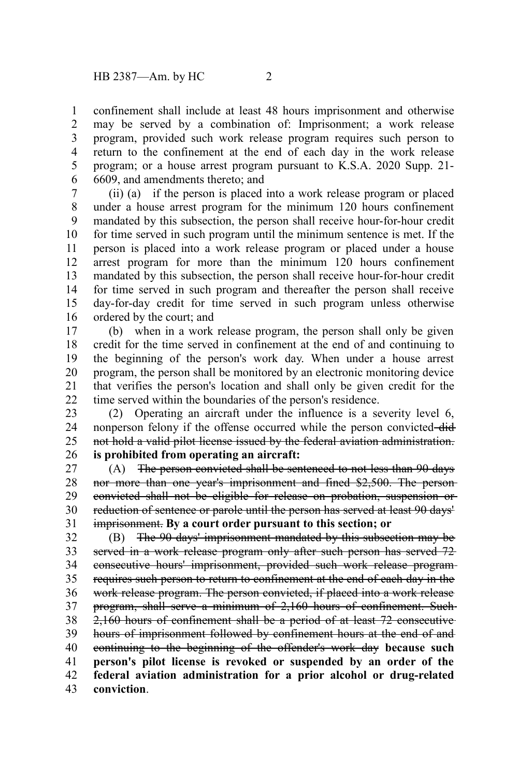confinement shall include at least 48 hours imprisonment and otherwise may be served by a combination of: Imprisonment; a work release program, provided such work release program requires such person to return to the confinement at the end of each day in the work release program; or a house arrest program pursuant to K.S.A. 2020 Supp. 21- 6609, and amendments thereto; and 1 2 3 4 5 6

(ii) (a) if the person is placed into a work release program or placed under a house arrest program for the minimum 120 hours confinement mandated by this subsection, the person shall receive hour-for-hour credit for time served in such program until the minimum sentence is met. If the person is placed into a work release program or placed under a house arrest program for more than the minimum 120 hours confinement mandated by this subsection, the person shall receive hour-for-hour credit for time served in such program and thereafter the person shall receive day-for-day credit for time served in such program unless otherwise ordered by the court; and 7 8 9 10 11 12 13 14 15 16

(b) when in a work release program, the person shall only be given credit for the time served in confinement at the end of and continuing to the beginning of the person's work day. When under a house arrest program, the person shall be monitored by an electronic monitoring device that verifies the person's location and shall only be given credit for the time served within the boundaries of the person's residence. 17 18 19 20 21 22

(2) Operating an aircraft under the influence is a severity level 6, nonperson felony if the offense occurred while the person convicted-didnot hold a valid pilot license issued by the federal aviation administration. **is prohibited from operating an aircraft:** 23 24 25 26

(A) The person convicted shall be sentenced to not less than 90 days nor more than one year's imprisonment and fined \$2,500. The person convicted shall not be eligible for release on probation, suspension or reduction of sentence or parole until the person has served at least 90 days' imprisonment. **By a court order pursuant to this section; or** 27 28 29 30 31

(B) The 90 days' imprisonment mandated by this subsection may be served in a work release program only after such person has served 72 consecutive hours' imprisonment, provided such work release program requires such person to return to confinement at the end of each day in the work release program. The person convicted, if placed into a work release program, shall serve a minimum of 2,160 hours of confinement. Such 2,160 hours of confinement shall be a period of at least 72 consecutive hours of imprisonment followed by confinement hours at the end of and continuing to the beginning of the offender's work day **because such person's pilot license is revoked or suspended by an order of the federal aviation administration for a prior alcohol or drug-related conviction**. 32 33 34 35 36 37 38 39 40 41 42 43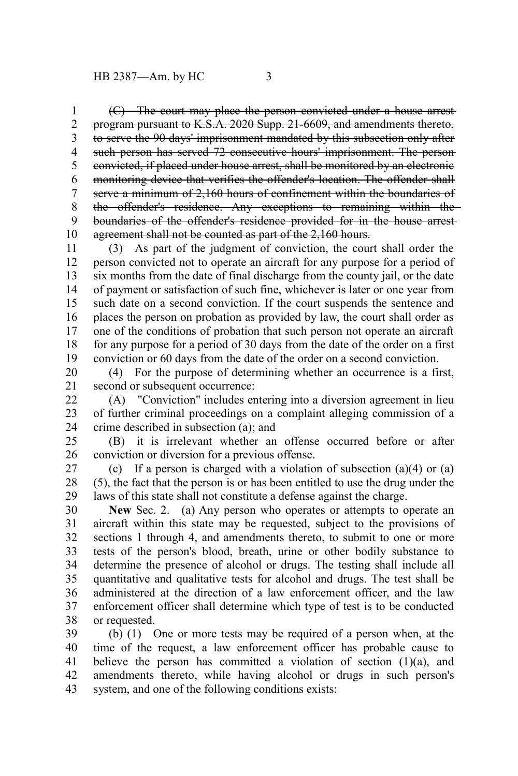(C) The court may place the person convicted under a house arrest program pursuant to K.S.A. 2020 Supp. 21-6609, and amendments thereto, to serve the 90 days' imprisonment mandated by this subsection only after such person has served 72 consecutive hours' imprisonment. The person convicted, if placed under house arrest, shall be monitored by an electronic monitoring device that verifies the offender's location. The offender shall serve a minimum of 2,160 hours of confinement within the boundaries of the offender's residence. Any exceptions to remaining within the boundaries of the offender's residence provided for in the house arrest agreement shall not be counted as part of the 2,160 hours. 1 2 3 4 5 6 7 8 9 10

(3) As part of the judgment of conviction, the court shall order the person convicted not to operate an aircraft for any purpose for a period of six months from the date of final discharge from the county jail, or the date of payment or satisfaction of such fine, whichever is later or one year from such date on a second conviction. If the court suspends the sentence and places the person on probation as provided by law, the court shall order as one of the conditions of probation that such person not operate an aircraft for any purpose for a period of 30 days from the date of the order on a first conviction or 60 days from the date of the order on a second conviction. 11 12 13 14 15 16 17 18 19

(4) For the purpose of determining whether an occurrence is a first, second or subsequent occurrence: 20 21

(A) "Conviction" includes entering into a diversion agreement in lieu of further criminal proceedings on a complaint alleging commission of a crime described in subsection (a); and  $22$ 23 24

(B) it is irrelevant whether an offense occurred before or after conviction or diversion for a previous offense. 25 26

(c) If a person is charged with a violation of subsection  $(a)(4)$  or  $(a)$ (5), the fact that the person is or has been entitled to use the drug under the laws of this state shall not constitute a defense against the charge. 27 28 29

**New** Sec. 2. (a) Any person who operates or attempts to operate an aircraft within this state may be requested, subject to the provisions of sections 1 through 4, and amendments thereto, to submit to one or more tests of the person's blood, breath, urine or other bodily substance to determine the presence of alcohol or drugs. The testing shall include all quantitative and qualitative tests for alcohol and drugs. The test shall be administered at the direction of a law enforcement officer, and the law enforcement officer shall determine which type of test is to be conducted or requested. 30 31 32 33 34 35 36 37 38

(b) (1) One or more tests may be required of a person when, at the time of the request, a law enforcement officer has probable cause to believe the person has committed a violation of section  $(1)(a)$ , and amendments thereto, while having alcohol or drugs in such person's system, and one of the following conditions exists: 39 40 41 42 43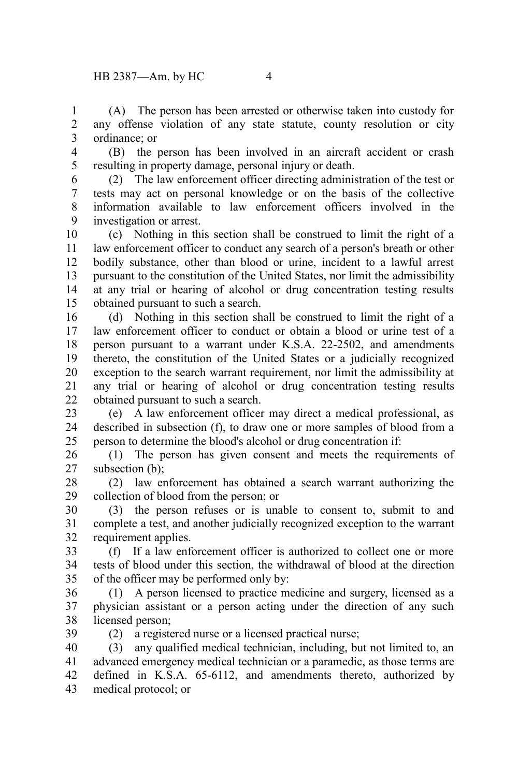(A) The person has been arrested or otherwise taken into custody for any offense violation of any state statute, county resolution or city ordinance; or 1 2 3

4

(B) the person has been involved in an aircraft accident or crash resulting in property damage, personal injury or death. 5

6

(2) The law enforcement officer directing administration of the test or tests may act on personal knowledge or on the basis of the collective information available to law enforcement officers involved in the investigation or arrest. 7 8 9

(c) Nothing in this section shall be construed to limit the right of a law enforcement officer to conduct any search of a person's breath or other bodily substance, other than blood or urine, incident to a lawful arrest pursuant to the constitution of the United States, nor limit the admissibility at any trial or hearing of alcohol or drug concentration testing results obtained pursuant to such a search. 10 11 12 13 14 15

(d) Nothing in this section shall be construed to limit the right of a law enforcement officer to conduct or obtain a blood or urine test of a person pursuant to a warrant under K.S.A. 22-2502, and amendments thereto, the constitution of the United States or a judicially recognized exception to the search warrant requirement, nor limit the admissibility at any trial or hearing of alcohol or drug concentration testing results obtained pursuant to such a search. 16 17 18 19 20 21  $22$ 

(e) A law enforcement officer may direct a medical professional, as described in subsection (f), to draw one or more samples of blood from a person to determine the blood's alcohol or drug concentration if: 23 24 25

(1) The person has given consent and meets the requirements of subsection (b): 26 27

(2) law enforcement has obtained a search warrant authorizing the collection of blood from the person; or 28 29

(3) the person refuses or is unable to consent to, submit to and complete a test, and another judicially recognized exception to the warrant requirement applies. 30 31 32

(f) If a law enforcement officer is authorized to collect one or more tests of blood under this section, the withdrawal of blood at the direction of the officer may be performed only by: 33 34 35

(1) A person licensed to practice medicine and surgery, licensed as a physician assistant or a person acting under the direction of any such licensed person; 36 37 38

(2) a registered nurse or a licensed practical nurse; 39

(3) any qualified medical technician, including, but not limited to, an advanced emergency medical technician or a paramedic, as those terms are defined in K.S.A. 65-6112, and amendments thereto, authorized by medical protocol; or 40 41 42 43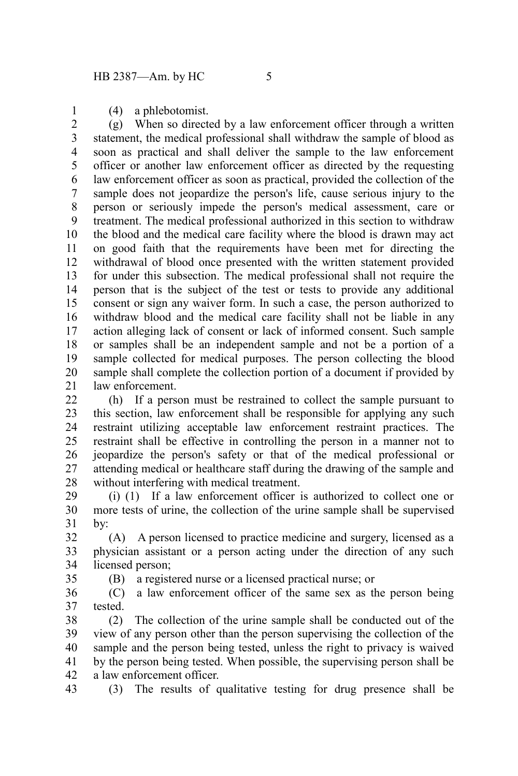(4) a phlebotomist.

1

35

(g) When so directed by a law enforcement officer through a written statement, the medical professional shall withdraw the sample of blood as soon as practical and shall deliver the sample to the law enforcement officer or another law enforcement officer as directed by the requesting law enforcement officer as soon as practical, provided the collection of the sample does not jeopardize the person's life, cause serious injury to the person or seriously impede the person's medical assessment, care or treatment. The medical professional authorized in this section to withdraw the blood and the medical care facility where the blood is drawn may act on good faith that the requirements have been met for directing the withdrawal of blood once presented with the written statement provided for under this subsection. The medical professional shall not require the person that is the subject of the test or tests to provide any additional consent or sign any waiver form. In such a case, the person authorized to withdraw blood and the medical care facility shall not be liable in any action alleging lack of consent or lack of informed consent. Such sample or samples shall be an independent sample and not be a portion of a sample collected for medical purposes. The person collecting the blood sample shall complete the collection portion of a document if provided by law enforcement. 2 3 4 5 6 7 8 9 10 11 12 13 14 15 16 17 18 19 20 21

(h) If a person must be restrained to collect the sample pursuant to this section, law enforcement shall be responsible for applying any such restraint utilizing acceptable law enforcement restraint practices. The restraint shall be effective in controlling the person in a manner not to jeopardize the person's safety or that of the medical professional or attending medical or healthcare staff during the drawing of the sample and without interfering with medical treatment.  $22$ 23 24 25 26 27 28

(i) (1) If a law enforcement officer is authorized to collect one or more tests of urine, the collection of the urine sample shall be supervised by: 29 30 31

(A) A person licensed to practice medicine and surgery, licensed as a physician assistant or a person acting under the direction of any such licensed person; 32 33 34

(B) a registered nurse or a licensed practical nurse; or

(C) a law enforcement officer of the same sex as the person being tested. 36 37

(2) The collection of the urine sample shall be conducted out of the view of any person other than the person supervising the collection of the sample and the person being tested, unless the right to privacy is waived by the person being tested. When possible, the supervising person shall be a law enforcement officer. 38 39 40 41 42

(3) The results of qualitative testing for drug presence shall be 43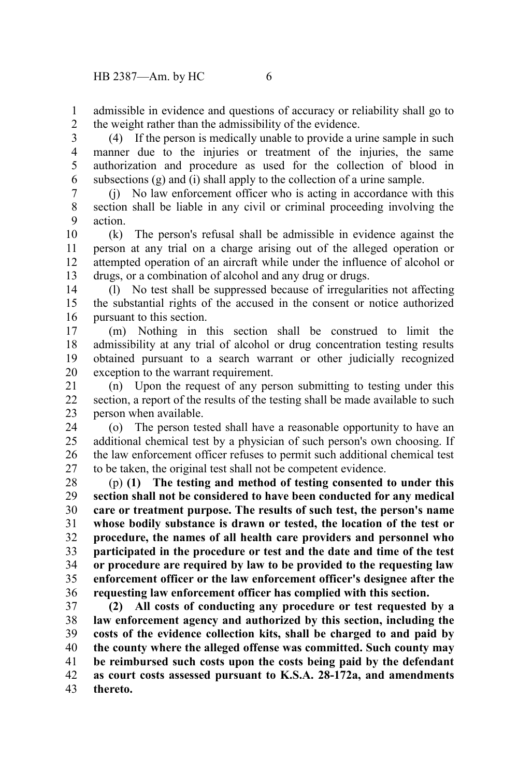admissible in evidence and questions of accuracy or reliability shall go to the weight rather than the admissibility of the evidence. 1 2

(4) If the person is medically unable to provide a urine sample in such manner due to the injuries or treatment of the injuries, the same authorization and procedure as used for the collection of blood in subsections (g) and (i) shall apply to the collection of a urine sample. 3 4 5 6

(j) No law enforcement officer who is acting in accordance with this section shall be liable in any civil or criminal proceeding involving the action. 7 8 9

(k) The person's refusal shall be admissible in evidence against the person at any trial on a charge arising out of the alleged operation or attempted operation of an aircraft while under the influence of alcohol or drugs, or a combination of alcohol and any drug or drugs. 10 11 12 13

(l) No test shall be suppressed because of irregularities not affecting the substantial rights of the accused in the consent or notice authorized pursuant to this section. 14 15 16

(m) Nothing in this section shall be construed to limit the admissibility at any trial of alcohol or drug concentration testing results obtained pursuant to a search warrant or other judicially recognized exception to the warrant requirement. 17 18 19 20

(n) Upon the request of any person submitting to testing under this section, a report of the results of the testing shall be made available to such person when available. 21 22 23

(o) The person tested shall have a reasonable opportunity to have an additional chemical test by a physician of such person's own choosing. If the law enforcement officer refuses to permit such additional chemical test to be taken, the original test shall not be competent evidence. 24 25 26 27

(p) **(1) The testing and method of testing consented to under this section shall not be considered to have been conducted for any medical care or treatment purpose. The results of such test, the person's name whose bodily substance is drawn or tested, the location of the test or procedure, the names of all health care providers and personnel who participated in the procedure or test and the date and time of the test or procedure are required by law to be provided to the requesting law enforcement officer or the law enforcement officer's designee after the requesting law enforcement officer has complied with this section.** 28 29 30 31 32 33 34 35 36

**(2) All costs of conducting any procedure or test requested by a law enforcement agency and authorized by this section, including the costs of the evidence collection kits, shall be charged to and paid by the county where the alleged offense was committed. Such county may be reimbursed such costs upon the costs being paid by the defendant as court costs assessed pursuant to K.S.A. 28-172a, and amendments thereto.** 37 38 39 40 41 42 43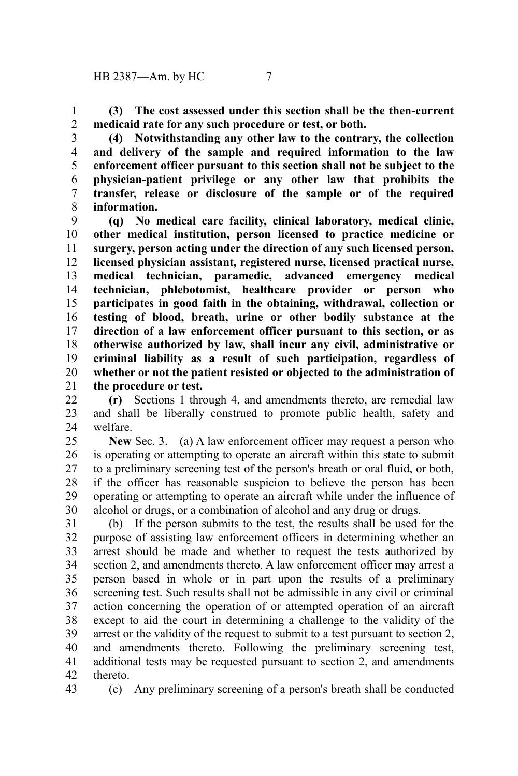**(3) The cost assessed under this section shall be the then-current medicaid rate for any such procedure or test, or both.** 1 2

**(4) Notwithstanding any other law to the contrary, the collection and delivery of the sample and required information to the law enforcement officer pursuant to this section shall not be subject to the physician-patient privilege or any other law that prohibits the transfer, release or disclosure of the sample or of the required information.** 3 4 5 6 7 8

**(q) No medical care facility, clinical laboratory, medical clinic, other medical institution, person licensed to practice medicine or surgery, person acting under the direction of any such licensed person, licensed physician assistant, registered nurse, licensed practical nurse, medical technician, paramedic, advanced emergency medical technician, phlebotomist, healthcare provider or person who participates in good faith in the obtaining, withdrawal, collection or testing of blood, breath, urine or other bodily substance at the direction of a law enforcement officer pursuant to this section, or as otherwise authorized by law, shall incur any civil, administrative or criminal liability as a result of such participation, regardless of whether or not the patient resisted or objected to the administration of the procedure or test.** 9 10 11 12 13 14 15 16 17 18 19 20 21

**(r)** Sections 1 through 4, and amendments thereto, are remedial law and shall be liberally construed to promote public health, safety and welfare. 22 23 24

**New** Sec. 3. (a) A law enforcement officer may request a person who is operating or attempting to operate an aircraft within this state to submit to a preliminary screening test of the person's breath or oral fluid, or both, if the officer has reasonable suspicion to believe the person has been operating or attempting to operate an aircraft while under the influence of alcohol or drugs, or a combination of alcohol and any drug or drugs. 25 26 27 28 29 30

(b) If the person submits to the test, the results shall be used for the purpose of assisting law enforcement officers in determining whether an arrest should be made and whether to request the tests authorized by section 2, and amendments thereto. A law enforcement officer may arrest a person based in whole or in part upon the results of a preliminary screening test. Such results shall not be admissible in any civil or criminal action concerning the operation of or attempted operation of an aircraft except to aid the court in determining a challenge to the validity of the arrest or the validity of the request to submit to a test pursuant to section 2, and amendments thereto. Following the preliminary screening test, additional tests may be requested pursuant to section 2, and amendments thereto. 31 32 33 34 35 36 37 38 39 40 41 42

43

(c) Any preliminary screening of a person's breath shall be conducted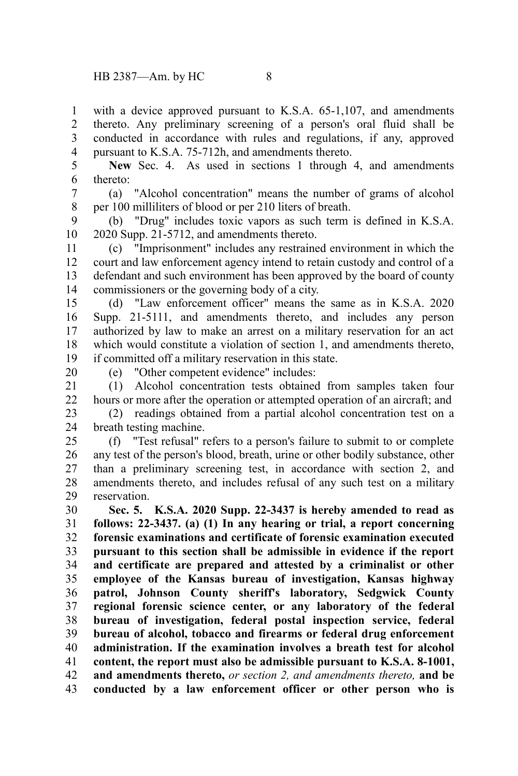with a device approved pursuant to K.S.A. 65-1,107, and amendments thereto. Any preliminary screening of a person's oral fluid shall be conducted in accordance with rules and regulations, if any, approved pursuant to K.S.A. 75-712h, and amendments thereto. 1 2 3 4

**New** Sec. 4. As used in sections 1 through 4, and amendments thereto: 5 6

(a) "Alcohol concentration" means the number of grams of alcohol per 100 milliliters of blood or per 210 liters of breath. 7 8

(b) "Drug" includes toxic vapors as such term is defined in K.S.A. 2020 Supp. 21-5712, and amendments thereto. 9 10

(c) "Imprisonment" includes any restrained environment in which the court and law enforcement agency intend to retain custody and control of a defendant and such environment has been approved by the board of county commissioners or the governing body of a city. 11 12 13 14

(d) "Law enforcement officer" means the same as in K.S.A. 2020 Supp. 21-5111, and amendments thereto, and includes any person authorized by law to make an arrest on a military reservation for an act which would constitute a violation of section 1, and amendments thereto, if committed off a military reservation in this state. 15 16 17 18 19

20

(e) "Other competent evidence" includes:

(1) Alcohol concentration tests obtained from samples taken four hours or more after the operation or attempted operation of an aircraft; and 21 22

(2) readings obtained from a partial alcohol concentration test on a breath testing machine. 23 24

(f) "Test refusal" refers to a person's failure to submit to or complete any test of the person's blood, breath, urine or other bodily substance, other than a preliminary screening test, in accordance with section 2, and amendments thereto, and includes refusal of any such test on a military reservation. 25 26 27 28 29

**Sec. 5. K.S.A. 2020 Supp. 22-3437 is hereby amended to read as follows: 22-3437. (a) (1) In any hearing or trial, a report concerning forensic examinations and certificate of forensic examination executed pursuant to this section shall be admissible in evidence if the report and certificate are prepared and attested by a criminalist or other employee of the Kansas bureau of investigation, Kansas highway patrol, Johnson County sheriff's laboratory, Sedgwick County regional forensic science center, or any laboratory of the federal bureau of investigation, federal postal inspection service, federal bureau of alcohol, tobacco and firearms or federal drug enforcement administration. If the examination involves a breath test for alcohol content, the report must also be admissible pursuant to K.S.A. 8-1001, and amendments thereto,** *or section 2, and amendments thereto,* **and be conducted by a law enforcement officer or other person who is** 30 31 32 33 34 35 36 37 38 39 40 41 42 43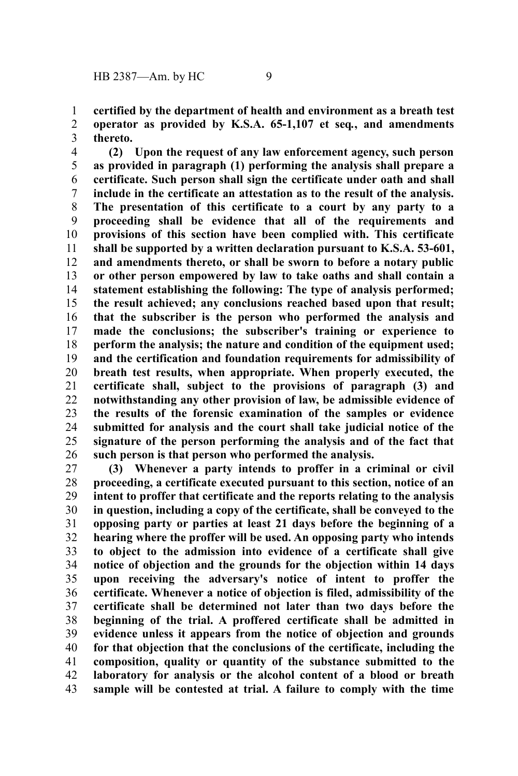**certified by the department of health and environment as a breath test operator as provided by K.S.A. 65-1,107 et seq***.***, and amendments thereto.** 1 2 3

**(2) Upon the request of any law enforcement agency, such person as provided in paragraph (1) performing the analysis shall prepare a certificate. Such person shall sign the certificate under oath and shall include in the certificate an attestation as to the result of the analysis. The presentation of this certificate to a court by any party to a proceeding shall be evidence that all of the requirements and provisions of this section have been complied with. This certificate shall be supported by a written declaration pursuant to K.S.A. 53-601, and amendments thereto, or shall be sworn to before a notary public or other person empowered by law to take oaths and shall contain a statement establishing the following: The type of analysis performed; the result achieved; any conclusions reached based upon that result; that the subscriber is the person who performed the analysis and made the conclusions; the subscriber's training or experience to perform the analysis; the nature and condition of the equipment used; and the certification and foundation requirements for admissibility of breath test results, when appropriate. When properly executed, the certificate shall, subject to the provisions of paragraph (3) and notwithstanding any other provision of law, be admissible evidence of the results of the forensic examination of the samples or evidence submitted for analysis and the court shall take judicial notice of the signature of the person performing the analysis and of the fact that such person is that person who performed the analysis.** 4 5 6 7 8 9 10 11 12 13 14 15 16 17 18 19 20 21 22 23 24 25 26

**(3) Whenever a party intends to proffer in a criminal or civil proceeding, a certificate executed pursuant to this section, notice of an intent to proffer that certificate and the reports relating to the analysis in question, including a copy of the certificate, shall be conveyed to the opposing party or parties at least 21 days before the beginning of a hearing where the proffer will be used. An opposing party who intends to object to the admission into evidence of a certificate shall give notice of objection and the grounds for the objection within 14 days upon receiving the adversary's notice of intent to proffer the certificate. Whenever a notice of objection is filed, admissibility of the certificate shall be determined not later than two days before the beginning of the trial. A proffered certificate shall be admitted in evidence unless it appears from the notice of objection and grounds for that objection that the conclusions of the certificate, including the composition, quality or quantity of the substance submitted to the laboratory for analysis or the alcohol content of a blood or breath sample will be contested at trial. A failure to comply with the time** 27 28 29 30 31 32 33 34 35 36 37 38 39 40 41 42 43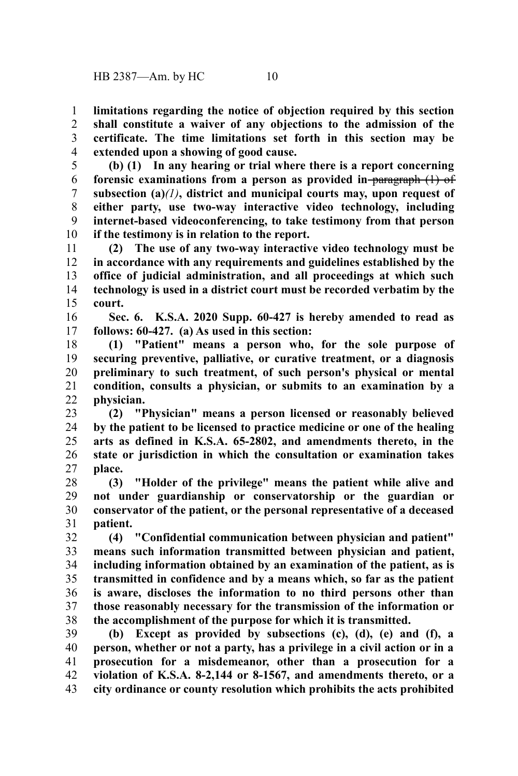**limitations regarding the notice of objection required by this section shall constitute a waiver of any objections to the admission of the certificate. The time limitations set forth in this section may be extended upon a showing of good cause.** 1 2 3 4

**(b) (1) In any hearing or trial where there is a report concerning forensic examinations from a person as provided in** paragraph (1) of **subsection (a)***(1)***, district and municipal courts may, upon request of either party, use two-way interactive video technology, including internet-based videoconferencing, to take testimony from that person if the testimony is in relation to the report.** 5 6 7 8 9 10

**(2) The use of any two-way interactive video technology must be in accordance with any requirements and guidelines established by the office of judicial administration, and all proceedings at which such technology is used in a district court must be recorded verbatim by the court.** 11 12 13 14 15

**Sec. 6. K.S.A. 2020 Supp. 60-427 is hereby amended to read as follows: 60-427. (a) As used in this section:** 16 17

**(1) "Patient" means a person who, for the sole purpose of securing preventive, palliative, or curative treatment, or a diagnosis preliminary to such treatment, of such person's physical or mental condition, consults a physician, or submits to an examination by a physician.** 18 19 20 21 22

- **(2) "Physician" means a person licensed or reasonably believed by the patient to be licensed to practice medicine or one of the healing arts as defined in K.S.A. 65-2802, and amendments thereto, in the state or jurisdiction in which the consultation or examination takes place.** 23 24 25 26 27
- **(3) "Holder of the privilege" means the patient while alive and not under guardianship or conservatorship or the guardian or conservator of the patient, or the personal representative of a deceased patient.** 28 29 30 31

**(4) "Confidential communication between physician and patient" means such information transmitted between physician and patient, including information obtained by an examination of the patient, as is transmitted in confidence and by a means which, so far as the patient is aware, discloses the information to no third persons other than those reasonably necessary for the transmission of the information or the accomplishment of the purpose for which it is transmitted.** 32 33 34 35 36 37 38

**(b) Except as provided by subsections (c), (d), (e) and (f), a person, whether or not a party, has a privilege in a civil action or in a prosecution for a misdemeanor, other than a prosecution for a violation of K.S.A. 8-2,144 or 8-1567, and amendments thereto, or a city ordinance or county resolution which prohibits the acts prohibited** 39 40 41 42 43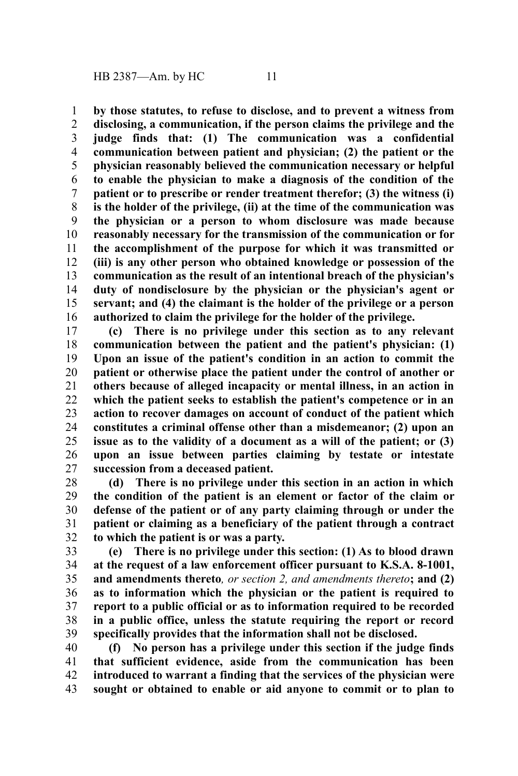**by those statutes, to refuse to disclose, and to prevent a witness from disclosing, a communication, if the person claims the privilege and the judge finds that: (1) The communication was a confidential communication between patient and physician; (2) the patient or the physician reasonably believed the communication necessary or helpful to enable the physician to make a diagnosis of the condition of the patient or to prescribe or render treatment therefor; (3) the witness (i) is the holder of the privilege, (ii) at the time of the communication was the physician or a person to whom disclosure was made because reasonably necessary for the transmission of the communication or for the accomplishment of the purpose for which it was transmitted or (iii) is any other person who obtained knowledge or possession of the communication as the result of an intentional breach of the physician's duty of nondisclosure by the physician or the physician's agent or servant; and (4) the claimant is the holder of the privilege or a person authorized to claim the privilege for the holder of the privilege.** 1 2 3 4 5 6 7 8 9 10 11 12 13 14 15 16

**(c) There is no privilege under this section as to any relevant communication between the patient and the patient's physician: (1) Upon an issue of the patient's condition in an action to commit the patient or otherwise place the patient under the control of another or others because of alleged incapacity or mental illness, in an action in which the patient seeks to establish the patient's competence or in an action to recover damages on account of conduct of the patient which constitutes a criminal offense other than a misdemeanor; (2) upon an issue as to the validity of a document as a will of the patient; or (3) upon an issue between parties claiming by testate or intestate succession from a deceased patient.** 17 18 19 20 21 22 23 24 25 26 27

**(d) There is no privilege under this section in an action in which the condition of the patient is an element or factor of the claim or defense of the patient or of any party claiming through or under the patient or claiming as a beneficiary of the patient through a contract to which the patient is or was a party.** 28 29 30 31 32

**(e) There is no privilege under this section: (1) As to blood drawn at the request of a law enforcement officer pursuant to K.S.A. 8-1001, and amendments thereto***, or section 2, and amendments thereto***; and (2) as to information which the physician or the patient is required to report to a public official or as to information required to be recorded in a public office, unless the statute requiring the report or record specifically provides that the information shall not be disclosed.** 33 34 35 36 37 38 39

**(f) No person has a privilege under this section if the judge finds that sufficient evidence, aside from the communication has been introduced to warrant a finding that the services of the physician were sought or obtained to enable or aid anyone to commit or to plan to** 40 41 42 43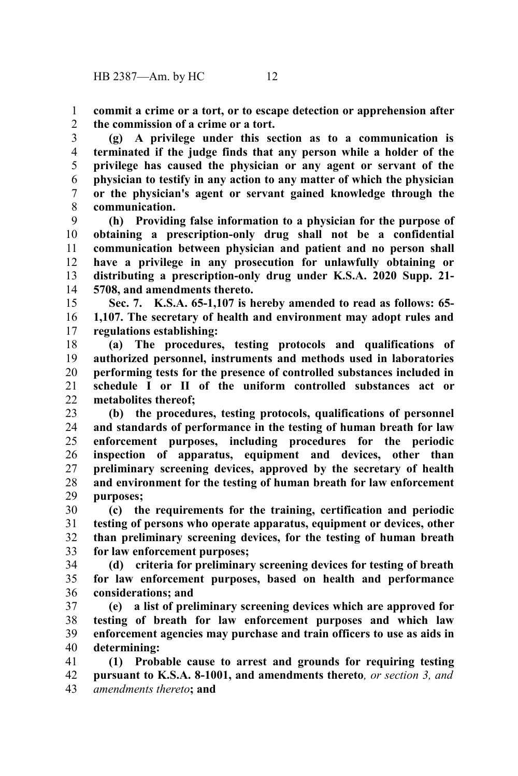**commit a crime or a tort, or to escape detection or apprehension after the commission of a crime or a tort.** 1  $\mathcal{L}$ 

**(g) A privilege under this section as to a communication is terminated if the judge finds that any person while a holder of the privilege has caused the physician or any agent or servant of the physician to testify in any action to any matter of which the physician or the physician's agent or servant gained knowledge through the communication.** 3 4 5 6 7 8

**(h) Providing false information to a physician for the purpose of obtaining a prescription-only drug shall not be a confidential communication between physician and patient and no person shall have a privilege in any prosecution for unlawfully obtaining or distributing a prescription-only drug under K.S.A. 2020 Supp. 21- 5708, and amendments thereto.** 9 10 11 12 13 14

**Sec. 7. K.S.A. 65-1,107 is hereby amended to read as follows: 65- 1,107. The secretary of health and environment may adopt rules and regulations establishing:** 15 16 17

**(a) The procedures, testing protocols and qualifications of authorized personnel, instruments and methods used in laboratories performing tests for the presence of controlled substances included in schedule I or II of the uniform controlled substances act or metabolites thereof;** 18 19 20 21  $22$ 

**(b) the procedures, testing protocols, qualifications of personnel and standards of performance in the testing of human breath for law enforcement purposes, including procedures for the periodic inspection of apparatus, equipment and devices, other than preliminary screening devices, approved by the secretary of health and environment for the testing of human breath for law enforcement purposes;** 23 24 25 26 27 28 29

**(c) the requirements for the training, certification and periodic testing of persons who operate apparatus, equipment or devices, other than preliminary screening devices, for the testing of human breath for law enforcement purposes;** 30 31 32 33

**(d) criteria for preliminary screening devices for testing of breath for law enforcement purposes, based on health and performance considerations; and** 34 35 36

**(e) a list of preliminary screening devices which are approved for testing of breath for law enforcement purposes and which law enforcement agencies may purchase and train officers to use as aids in determining:** 37 38 39 40

**(1) Probable cause to arrest and grounds for requiring testing pursuant to K.S.A. 8-1001, and amendments thereto***, or section 3, and amendments thereto***; and** 41 42 43